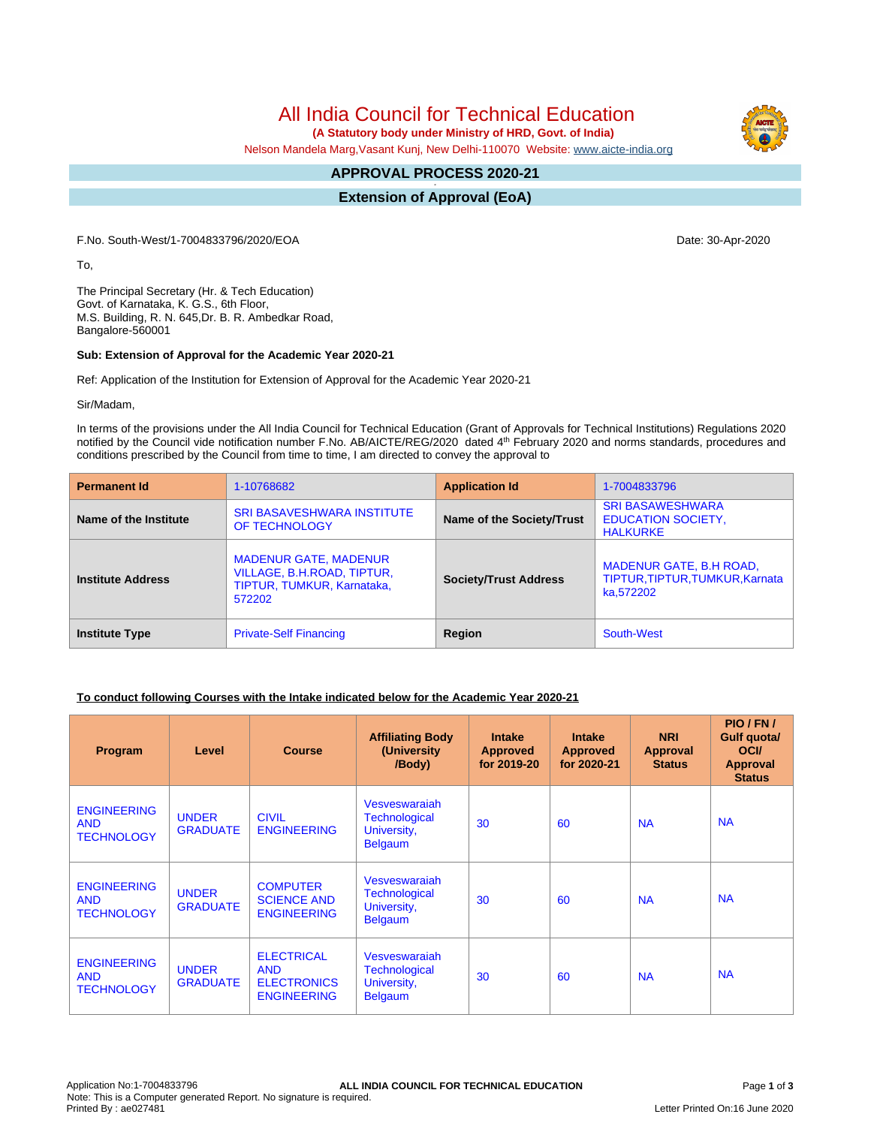All India Council for Technical Education

 **(A Statutory body under Ministry of HRD, Govt. of India)**

Nelson Mandela Marg,Vasant Kunj, New Delhi-110070 Website: [www.aicte-india.org](http://www.aicte-india.org)

#### **APPROVAL PROCESS 2020-21 -**

**Extension of Approval (EoA)**

F.No. South-West/1-7004833796/2020/EOA Date: 30-Apr-2020

To,

The Principal Secretary (Hr. & Tech Education) Govt. of Karnataka, K. G.S., 6th Floor, M.S. Building, R. N. 645,Dr. B. R. Ambedkar Road, Bangalore-560001

#### **Sub: Extension of Approval for the Academic Year 2020-21**

Ref: Application of the Institution for Extension of Approval for the Academic Year 2020-21

Sir/Madam,

In terms of the provisions under the All India Council for Technical Education (Grant of Approvals for Technical Institutions) Regulations 2020 notified by the Council vide notification number F.No. AB/AICTE/REG/2020 dated 4<sup>th</sup> February 2020 and norms standards, procedures and conditions prescribed by the Council from time to time, I am directed to convey the approval to

| <b>Permanent Id</b>      | 1-10768682                                                                                         | <b>Application Id</b>        | 1-7004833796                                                                   |
|--------------------------|----------------------------------------------------------------------------------------------------|------------------------------|--------------------------------------------------------------------------------|
| Name of the Institute    | <b>SRI BASAVESHWARA INSTITUTE</b><br>OF TECHNOLOGY                                                 | Name of the Society/Trust    | <b>SRI BASAWESHWARA</b><br><b>EDUCATION SOCIETY,</b><br><b>HALKURKE</b>        |
| <b>Institute Address</b> | <b>MADENUR GATE, MADENUR</b><br>VILLAGE, B.H.ROAD, TIPTUR,<br>TIPTUR, TUMKUR, Karnataka,<br>572202 | <b>Society/Trust Address</b> | <b>MADENUR GATE, B.H ROAD,</b><br>TIPTUR, TIPTUR, TUMKUR, Karnata<br>ka.572202 |
| <b>Institute Type</b>    | <b>Private-Self Financing</b>                                                                      | Region                       | South-West                                                                     |

## **To conduct following Courses with the Intake indicated below for the Academic Year 2020-21**

| Program                                               | Level                           | <b>Course</b>                                                               | <b>Affiliating Body</b><br>(University)<br>/Body)                      | <b>Intake</b><br><b>Approved</b><br>for 2019-20 | <b>Intake</b><br><b>Approved</b><br>for 2020-21 | <b>NRI</b><br>Approval<br><b>Status</b> | PIO/FN/<br><b>Gulf quotal</b><br><b>OCI</b><br><b>Approval</b><br><b>Status</b> |
|-------------------------------------------------------|---------------------------------|-----------------------------------------------------------------------------|------------------------------------------------------------------------|-------------------------------------------------|-------------------------------------------------|-----------------------------------------|---------------------------------------------------------------------------------|
| <b>ENGINEERING</b><br><b>AND</b><br><b>TECHNOLOGY</b> | <b>UNDER</b><br><b>GRADUATE</b> | <b>CIVIL</b><br><b>ENGINEERING</b>                                          | Vesveswarajah<br><b>Technological</b><br>University,<br><b>Belgaum</b> | 30                                              | 60                                              | <b>NA</b>                               | <b>NA</b>                                                                       |
| <b>ENGINEERING</b><br><b>AND</b><br><b>TECHNOLOGY</b> | <b>UNDER</b><br><b>GRADUATE</b> | <b>COMPUTER</b><br><b>SCIENCE AND</b><br><b>ENGINEERING</b>                 | Vesveswaraiah<br><b>Technological</b><br>University,<br><b>Belgaum</b> | 30                                              | 60                                              | <b>NA</b>                               | <b>NA</b>                                                                       |
| <b>ENGINEERING</b><br><b>AND</b><br><b>TECHNOLOGY</b> | <b>UNDER</b><br><b>GRADUATE</b> | <b>ELECTRICAL</b><br><b>AND</b><br><b>ELECTRONICS</b><br><b>ENGINEERING</b> | Vesveswaraiah<br><b>Technological</b><br>University,<br><b>Belgaum</b> | 30                                              | 60                                              | <b>NA</b>                               | <b>NA</b>                                                                       |

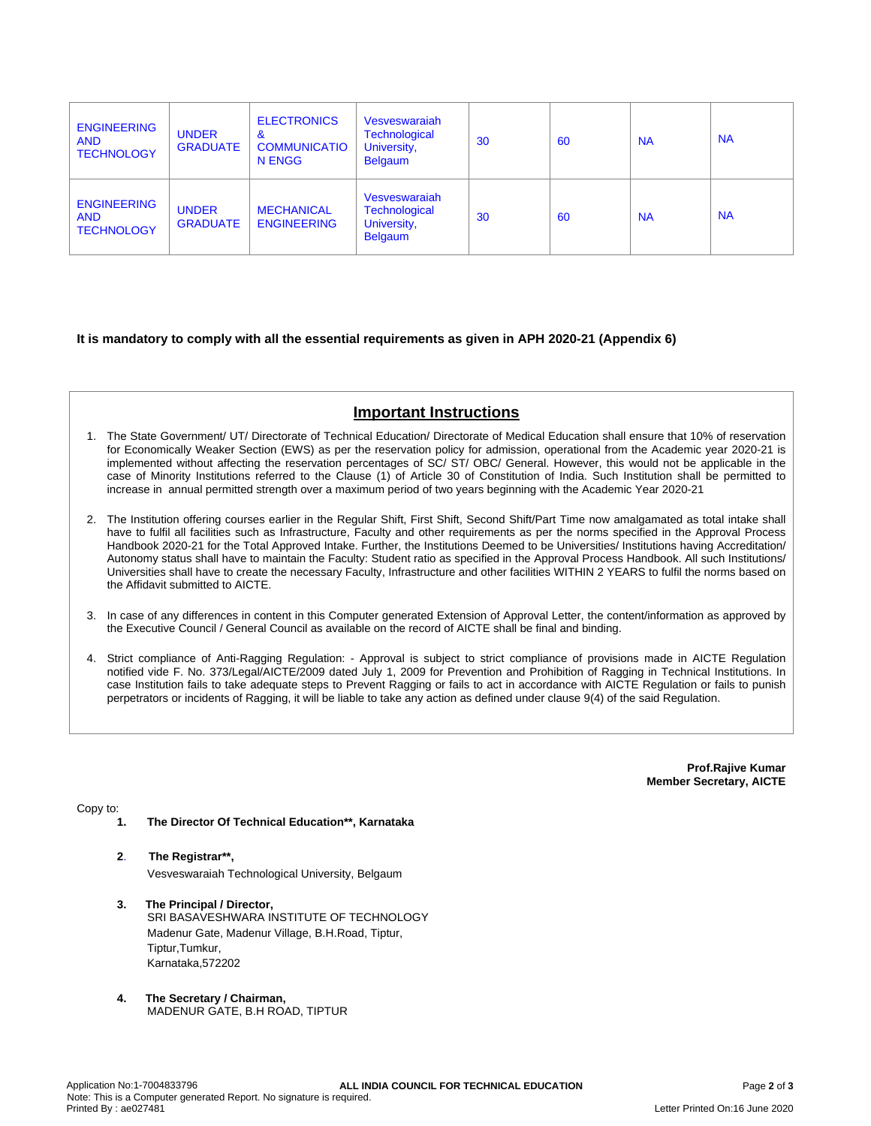| <b>ENGINEERING</b><br><b>AND</b><br><b>TECHNOLOGY</b> | <b>UNDER</b><br><b>GRADUATE</b> | <b>ELECTRONICS</b><br>&<br><b>COMMUNICATIO</b><br>N ENGG | Vesveswaraiah<br><b>Technological</b><br>University,<br><b>Belgaum</b> | 30 | 60 | <b>NA</b> | <b>NA</b> |
|-------------------------------------------------------|---------------------------------|----------------------------------------------------------|------------------------------------------------------------------------|----|----|-----------|-----------|
| <b>ENGINEERING</b><br><b>AND</b><br><b>TECHNOLOGY</b> | <b>UNDER</b><br><b>GRADUATE</b> | <b>MECHANICAL</b><br><b>ENGINEERING</b>                  | Vesveswaraiah<br><b>Technological</b><br>University,<br><b>Belgaum</b> | 30 | 60 | <b>NA</b> | <b>NA</b> |

## **It is mandatory to comply with all the essential requirements as given in APH 2020-21 (Appendix 6)**

# **Important Instructions**

- 1. The State Government/ UT/ Directorate of Technical Education/ Directorate of Medical Education shall ensure that 10% of reservation for Economically Weaker Section (EWS) as per the reservation policy for admission, operational from the Academic year 2020-21 is implemented without affecting the reservation percentages of SC/ ST/ OBC/ General. However, this would not be applicable in the case of Minority Institutions referred to the Clause (1) of Article 30 of Constitution of India. Such Institution shall be permitted to increase in annual permitted strength over a maximum period of two years beginning with the Academic Year 2020-21
- 2. The Institution offering courses earlier in the Regular Shift, First Shift, Second Shift/Part Time now amalgamated as total intake shall have to fulfil all facilities such as Infrastructure, Faculty and other requirements as per the norms specified in the Approval Process Handbook 2020-21 for the Total Approved Intake. Further, the Institutions Deemed to be Universities/ Institutions having Accreditation/ Autonomy status shall have to maintain the Faculty: Student ratio as specified in the Approval Process Handbook. All such Institutions/ Universities shall have to create the necessary Faculty, Infrastructure and other facilities WITHIN 2 YEARS to fulfil the norms based on the Affidavit submitted to AICTE.
- 3. In case of any differences in content in this Computer generated Extension of Approval Letter, the content/information as approved by the Executive Council / General Council as available on the record of AICTE shall be final and binding.
- 4. Strict compliance of Anti-Ragging Regulation: Approval is subject to strict compliance of provisions made in AICTE Regulation notified vide F. No. 373/Legal/AICTE/2009 dated July 1, 2009 for Prevention and Prohibition of Ragging in Technical Institutions. In case Institution fails to take adequate steps to Prevent Ragging or fails to act in accordance with AICTE Regulation or fails to punish perpetrators or incidents of Ragging, it will be liable to take any action as defined under clause 9(4) of the said Regulation.

**Prof.Rajive Kumar Member Secretary, AICTE**

Copy to:

- **1. The Director Of Technical Education\*\*, Karnataka**
- **2**. **The Registrar\*\*,** Vesveswaraiah Technological University, Belgaum
- **3. The Principal / Director,** SRI BASAVESHWARA INSTITUTE OF TECHNOLOGY Madenur Gate, Madenur Village, B.H.Road, Tiptur, Tiptur,Tumkur, Karnataka,572202
- **4. The Secretary / Chairman,** MADENUR GATE, B.H ROAD, TIPTUR